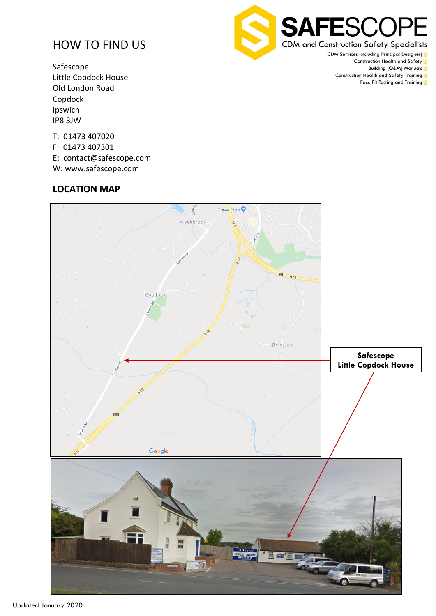# HOW TO FIND US

Safescope Little Copdock House Old London Road Copdock Ipswich IP8 3JW

**SAFESCO CDM and Construction Safety Specialists** 

CDM Services (including Principal Designer) & Construction Health and Safety & Building (O&M) Manuals Construction Health and Safety Training 8 Face Fit Testing and Training 8

#### T: 01473 407020

- F: 01473 407301
- E: contact@safescope.com
- W: www.safescope.com

# **LOCATION MAP**



Updated January 2020